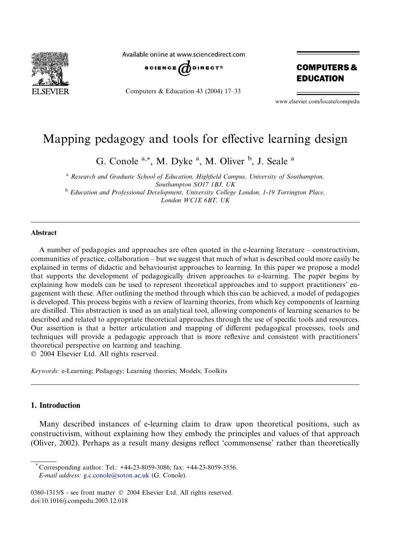

Available online at www.sciencedirect.com



Computers & Education 43 (2004) 17–33

**COMPUTERS & EDUCATION** 

www.elsevier.com/locate/compedu

# Mapping pedagogy and tools for effective learning design

G. Conole <sup>a,\*</sup>, M. Dyke <sup>a</sup>, M. Oliver <sup>b</sup>, J. Seale <sup>a</sup>

<sup>a</sup> Research and Graduate School of Education, Highfield Campus, University of Southampton, Southampton SO17 1BJ, UK<br>b Education and Professional Development, University College London, 1-19 Torrington Place, London WC1E 6BT, UK

#### Abstract

A number of pedagogies and approaches are often quoted in the e-learning literature – constructivism, communities of practice, collaboration – but we suggest that much of what is described could more easily be explained in terms of didactic and behaviourist approaches to learning. In this paper we propose a model that supports the development of pedagogically driven approaches to e-learning. The paper begins by explaining how models can be used to represent theoretical approaches and to support practitioners' engagement with these. After outlining the method through which this can be achieved, a model of pedagogies is developed. This process begins with a review of learning theories, from which key components of learning are distilled. This abstraction is used as an analytical tool, allowing components of learning scenarios to be described and related to appropriate theoretical approaches through the use of specific tools and resources. Our assertion is that a better articulation and mapping of different pedagogical processes, tools and techniques will provide a pedagogic approach that is more reflexive and consistent with practitioners' theoretical perspective on learning and teaching.

2004 Elsevier Ltd. All rights reserved.

Keywords: e-Learning; Pedagogy; Learning theories; Models; Toolkits

## 1. Introduction

Many described instances of e-learning claim to draw upon theoretical positions, such as constructivism, without explaining how they embody the principles and values of that approach (Oliver, 2002). Perhaps as a result many designs reflect 'commonsense' rather than theoretically

 $*$  Corresponding author. Tel.:  $+44-23-8059-3086$ ; fax:  $+44-23-8059-3556$ . E-mail address: [g.c.conole@soton.ac.uk](mail to: g.c.conole@soton.ac.uk) (G. Conole).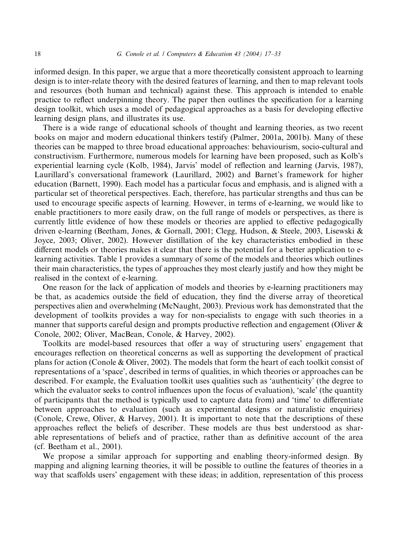informed design. In this paper, we argue that a more theoretically consistent approach to learning design is to inter-relate theory with the desired features of learning, and then to map relevant tools and resources (both human and technical) against these. This approach is intended to enable practice to reflect underpinning theory. The paper then outlines the specification for a learning design toolkit, which uses a model of pedagogical approaches as a basis for developing effective learning design plans, and illustrates its use.

There is a wide range of educational schools of thought and learning theories, as two recent books on major and modern educational thinkers testify (Palmer, 2001a, 2001b). Many of these theories can be mapped to three broad educational approaches: behaviourism, socio-cultural and constructivism. Furthermore, numerous models for learning have been proposed, such as Kolb's experiential learning cycle (Kolb, 1984), Jarvis' model of reflection and learning (Jarvis, 1987), Laurillard's conversational framework (Laurillard, 2002) and Barnet's framework for higher education (Barnett, 1990). Each model has a particular focus and emphasis, and is aligned with a particular set of theoretical perspectives. Each, therefore, has particular strengths and thus can be used to encourage specific aspects of learning. However, in terms of e-learning, we would like to enable practitioners to more easily draw, on the full range of models or perspectives, as there is currently little evidence of how these models or theories are applied to effective pedagogically driven e-learning (Beetham, Jones, & Gornall, 2001; Clegg, Hudson, & Steele, 2003, Lisewski & Joyce, 2003; Oliver, 2002). However distillation of the key characteristics embodied in these different models or theories makes it clear that there is the potential for a better application to elearning activities. Table 1 provides a summary of some of the models and theories which outlines their main characteristics, the types of approaches they most clearly justify and how they might be realised in the context of e-learning.

One reason for the lack of application of models and theories by e-learning practitioners may be that, as academics outside the field of education, they find the diverse array of theoretical perspectives alien and overwhelming (McNaught, 2003). Previous work has demonstrated that the development of toolkits provides a way for non-specialists to engage with such theories in a manner that supports careful design and prompts productive reflection and engagement (Oliver & Conole, 2002; Oliver, MacBean, Conole, & Harvey, 2002).

Toolkits are model-based resources that offer a way of structuring users' engagement that encourages reflection on theoretical concerns as well as supporting the development of practical plans for action (Conole & Oliver, 2002). The models that form the heart of each toolkit consist of representations of a 'space', described in terms of qualities, in which theories or approaches can be described. For example, the Evaluation toolkit uses qualities such as 'authenticity' (the degree to which the evaluator seeks to control influences upon the focus of evaluation), 'scale' (the quantity of participants that the method is typically used to capture data from) and 'time' to differentiate between approaches to evaluation (such as experimental designs or naturalistic enquiries) (Conole, Crewe, Oliver, & Harvey, 2001). It is important to note that the descriptions of these approaches reflect the beliefs of describer. These models are thus best understood as sharable representations of beliefs and of practice, rather than as definitive account of the area (cf. Beetham et al., 2001).

We propose a similar approach for supporting and enabling theory-informed design. By mapping and aligning learning theories, it will be possible to outline the features of theories in a way that scaffolds users' engagement with these ideas; in addition, representation of this process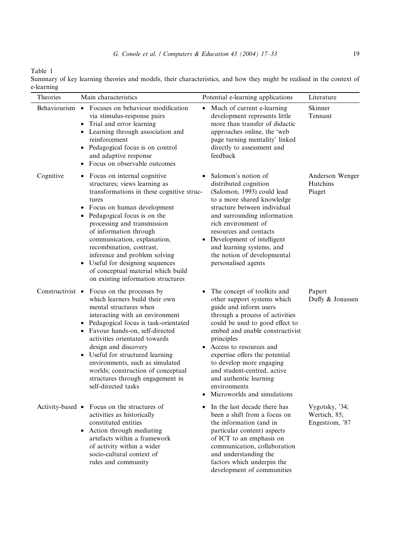Table 1

Summary of key learning theories and models, their characteristics, and how they might be realised in the context of e-learning

| Theories  | Main characteristics                                                                                                                                                                                                                                                                                                                                                                                                                                              | Potential e-learning applications                                                                                                                                                                                                                                                                                                                                                                            | Literature                                       |
|-----------|-------------------------------------------------------------------------------------------------------------------------------------------------------------------------------------------------------------------------------------------------------------------------------------------------------------------------------------------------------------------------------------------------------------------------------------------------------------------|--------------------------------------------------------------------------------------------------------------------------------------------------------------------------------------------------------------------------------------------------------------------------------------------------------------------------------------------------------------------------------------------------------------|--------------------------------------------------|
|           | Behaviourism • Focuses on behaviour modification<br>via stimulus-response pairs<br>Trial and error learning<br>$\bullet$<br>Learning through association and<br>reinforcement<br>• Pedagogical focus is on control<br>and adaptive response<br>• Focus on observable outcomes                                                                                                                                                                                     | Much of current e-learning<br>development represents little<br>more than transfer of didactic<br>approaches online, the 'web<br>page turning mentality' linked<br>directly to assessment and<br>feedback                                                                                                                                                                                                     | Skinner<br>Tennant                               |
| Cognitive | • Focus on internal cognitive<br>structures; views learning as<br>transformations in these cognitive struc-<br>tures<br>Focus on human development<br>Pedagogical focus is on the<br>processing and transmission<br>of information through<br>communication, explanation,<br>recombination, contrast,<br>inference and problem solving<br>Useful for designing sequences<br>$\bullet$<br>of conceptual material which build<br>on existing information structures | Salomon's notion of<br>distributed cognition<br>(Salomon, 1993) could lead<br>to a more shared knowledge<br>structure between individual<br>and surrounding information<br>rich environment of<br>resources and contacts<br>• Development of intelligent<br>and learning systems, and<br>the notion of developmental<br>personalised agents                                                                  | Anderson Wenger<br>Hutchins<br>Piaget            |
|           | Constructivist • Focus on the processes by<br>which learners build their own<br>mental structures when<br>interacting with an environment<br>Pedagogical focus is task-orientated<br>Favour hands-on, self-directed<br>activities orientated towards<br>design and discovery<br>Useful for structured learning<br>$\bullet$<br>environments, such as simulated<br>worlds; construction of conceptual<br>structures through engagement in<br>self-directed tasks   | The concept of toolkits and<br>other support systems which<br>guide and inform users<br>through a process of activities<br>could be used to good effect to<br>embed and enable constructivist<br>principles<br>Access to resources and<br>expertise offers the potential<br>to develop more engaging<br>and student-centred, active<br>and authentic learning<br>environments<br>Microworlds and simulations | Papert<br>Duffy & Jonassen                       |
|           | Activity-based • Focus on the structures of<br>activities as historically<br>constituted entities<br>Action through mediating<br>artefacts within a framework<br>of activity within a wider<br>socio-cultural context of<br>rules and community                                                                                                                                                                                                                   | In the last decade there has<br>been a shift from a focus on<br>the information (and in<br>particular content) aspects<br>of ICT to an emphasis on<br>communication, collaboration<br>and understanding the<br>factors which underpin the<br>development of communities                                                                                                                                      | Vygotsky, '34;<br>Wertsch, 85;<br>Engestrom, '87 |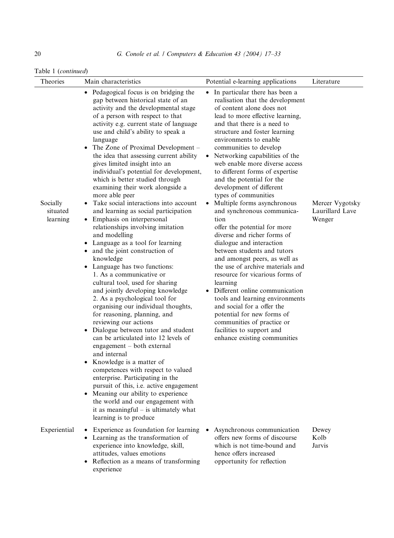Table 1 (continued)

| Theories                         | Main characteristics                                                                                                                                                                                                                                                                                                                                                                                                                                                                                                                                                                                                                                                                                                                                                                                                                                                                                                                                                                                                                                                                                                                                                                                                                                                                                                                                                                                                                                                                                                              | Potential e-learning applications                                                                                                                                                                                                                                                                                                                                                                                                                                                                                                                                                                                                                                                                                                                                                                                                                                                                                                                                                                           | Literature                                   |
|----------------------------------|-----------------------------------------------------------------------------------------------------------------------------------------------------------------------------------------------------------------------------------------------------------------------------------------------------------------------------------------------------------------------------------------------------------------------------------------------------------------------------------------------------------------------------------------------------------------------------------------------------------------------------------------------------------------------------------------------------------------------------------------------------------------------------------------------------------------------------------------------------------------------------------------------------------------------------------------------------------------------------------------------------------------------------------------------------------------------------------------------------------------------------------------------------------------------------------------------------------------------------------------------------------------------------------------------------------------------------------------------------------------------------------------------------------------------------------------------------------------------------------------------------------------------------------|-------------------------------------------------------------------------------------------------------------------------------------------------------------------------------------------------------------------------------------------------------------------------------------------------------------------------------------------------------------------------------------------------------------------------------------------------------------------------------------------------------------------------------------------------------------------------------------------------------------------------------------------------------------------------------------------------------------------------------------------------------------------------------------------------------------------------------------------------------------------------------------------------------------------------------------------------------------------------------------------------------------|----------------------------------------------|
| Socially<br>situated<br>learning | Pedagogical focus is on bridging the<br>$\bullet$<br>gap between historical state of an<br>activity and the developmental stage<br>of a person with respect to that<br>activity e.g. current state of language<br>use and child's ability to speak a<br>language<br>The Zone of Proximal Development -<br>the idea that assessing current ability<br>gives limited insight into an<br>individual's potential for development,<br>which is better studied through<br>examining their work alongside a<br>more able peer<br>Take social interactions into account<br>and learning as social participation<br>• Emphasis on interpersonal<br>relationships involving imitation<br>and modelling<br>Language as a tool for learning<br>and the joint construction of<br>knowledge<br>Language has two functions:<br>$\bullet$<br>1. As a communicative or<br>cultural tool, used for sharing<br>and jointly developing knowledge<br>2. As a psychological tool for<br>organising our individual thoughts,<br>for reasoning, planning, and<br>reviewing our actions<br>Dialogue between tutor and student<br>$\bullet$<br>can be articulated into 12 levels of<br>engagement – both external<br>and internal<br>Knowledge is a matter of<br>$\bullet$<br>competences with respect to valued<br>enterprise. Participating in the<br>pursuit of this, i.e. active engagement<br>Meaning our ability to experience<br>$\bullet$<br>the world and our engagement with<br>it as meaningful $-$ is ultimately what<br>learning is to produce | In particular there has been a<br>$\bullet$<br>realisation that the development<br>of content alone does not<br>lead to more effective learning,<br>and that there is a need to<br>structure and foster learning<br>environments to enable<br>communities to develop<br>Networking capabilities of the<br>web enable more diverse access<br>to different forms of expertise<br>and the potential for the<br>development of different<br>types of communities<br>Multiple forms asynchronous<br>and synchronous communica-<br>tion<br>offer the potential for more<br>diverse and richer forms of<br>dialogue and interaction<br>between students and tutors<br>and amongst peers, as well as<br>the use of archive materials and<br>resource for vicarious forms of<br>learning<br>Different online communication<br>tools and learning environments<br>and social for a offer the<br>potential for new forms of<br>communities of practice or<br>facilities to support and<br>enhance existing communities | Mercer Vygotsky<br>Laurillard Lave<br>Wenger |
| Experiential                     | Experience as foundation for learning<br>Learning as the transformation of<br>experience into knowledge, skill,<br>attitudes, values emotions<br>Reflection as a means of transforming<br>experience                                                                                                                                                                                                                                                                                                                                                                                                                                                                                                                                                                                                                                                                                                                                                                                                                                                                                                                                                                                                                                                                                                                                                                                                                                                                                                                              | Asynchronous communication<br>$\bullet$<br>offers new forms of discourse<br>which is not time-bound and<br>hence offers increased<br>opportunity for reflection                                                                                                                                                                                                                                                                                                                                                                                                                                                                                                                                                                                                                                                                                                                                                                                                                                             | Dewey<br>Kolb<br>Jarvis                      |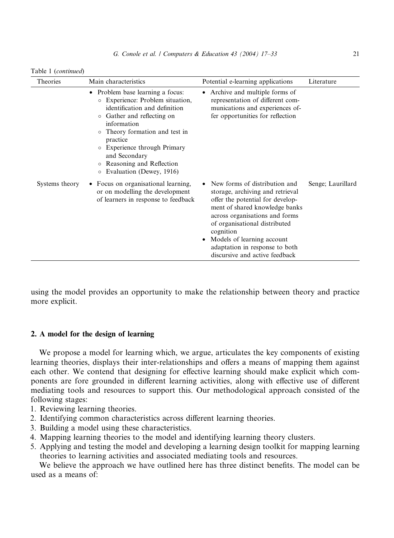| Table 1 (continued) |  |
|---------------------|--|
|---------------------|--|

| <b>Theories</b> | Main characteristics                                                                                                                                                                                                                                                                                                                                       | Potential e-learning applications                                                                                                                                                                                                                                                                                                      | Literature        |
|-----------------|------------------------------------------------------------------------------------------------------------------------------------------------------------------------------------------------------------------------------------------------------------------------------------------------------------------------------------------------------------|----------------------------------------------------------------------------------------------------------------------------------------------------------------------------------------------------------------------------------------------------------------------------------------------------------------------------------------|-------------------|
|                 | • Problem base learning a focus:<br>Experience: Problem situation,<br>$\circ$<br>identification and definition<br>• Gather and reflecting on<br>information<br>Theory formation and test in<br>$\circ$<br>practice<br>Experience through Primary<br>$\circ$<br>and Secondary<br>Reasoning and Reflection<br>$\circ$<br>Evaluation (Dewey, 1916)<br>$\circ$ | Archive and multiple forms of<br>representation of different com-<br>munications and experiences of-<br>fer opportunities for reflection                                                                                                                                                                                               |                   |
| Systems theory  | • Focus on organisational learning,<br>or on modelling the development<br>of learners in response to feedback                                                                                                                                                                                                                                              | New forms of distribution and<br>storage, archiving and retrieval<br>offer the potential for develop-<br>ment of shared knowledge banks<br>across organisations and forms<br>of organisational distributed<br>cognition<br>Models of learning account<br>$\bullet$<br>adaptation in response to both<br>discursive and active feedback | Senge; Laurillard |

using the model provides an opportunity to make the relationship between theory and practice more explicit.

## 2. A model for the design of learning

We propose a model for learning which, we argue, articulates the key components of existing learning theories, displays their inter-relationships and offers a means of mapping them against each other. We contend that designing for effective learning should make explicit which components are fore grounded in different learning activities, along with effective use of different mediating tools and resources to support this. Our methodological approach consisted of the following stages:

- 1. Reviewing learning theories.
- 2. Identifying common characteristics across different learning theories.
- 3. Building a model using these characteristics.
- 4. Mapping learning theories to the model and identifying learning theory clusters.
- 5. Applying and testing the model and developing a learning design toolkit for mapping learning theories to learning activities and associated mediating tools and resources.

We believe the approach we have outlined here has three distinct benefits. The model can be used as a means of: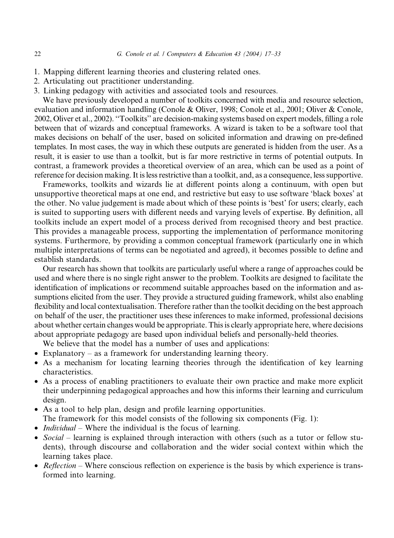- 1. Mapping different learning theories and clustering related ones.
- 2. Articulating out practitioner understanding.
- 3. Linking pedagogy with activities and associated tools and resources.

We have previously developed a number of toolkits concerned with media and resource selection, evaluation and information handling (Conole & Oliver, 1998; Conole et al., 2001; Oliver & Conole, 2002, Oliver et al., 2002). ''Toolkits'' are decision-making systems based on expert models, filling a role between that of wizards and conceptual frameworks. A wizard is taken to be a software tool that makes decisions on behalf of the user, based on solicited information and drawing on pre-defined templates. In most cases, the way in which these outputs are generated is hidden from the user. As a result, it is easier to use than a toolkit, but is far more restrictive in terms of potential outputs. In contrast, a framework provides a theoretical overview of an area, which can be used as a point of reference for decision making. It is less restrictive than a toolkit, and, as a consequence, less supportive.

Frameworks, toolkits and wizards lie at different points along a continuum, with open but unsupportive theoretical maps at one end, and restrictive but easy to use software 'black boxes' at the other. No value judgement is made about which of these points is 'best' for users; clearly, each is suited to supporting users with different needs and varying levels of expertise. By definition, all toolkits include an expert model of a process derived from recognised theory and best practice. This provides a manageable process, supporting the implementation of performance monitoring systems. Furthermore, by providing a common conceptual framework (particularly one in which multiple interpretations of terms can be negotiated and agreed), it becomes possible to define and establish standards.

Our research has shown that toolkits are particularly useful where a range of approaches could be used and where there is no single right answer to the problem. Toolkits are designed to facilitate the identification of implications or recommend suitable approaches based on the information and assumptions elicited from the user. They provide a structured guiding framework, whilst also enabling flexibility and local contextualisation. Therefore rather than the toolkit deciding on the best approach on behalf of the user, the practitioner uses these inferences to make informed, professional decisions about whether certain changes would be appropriate. This is clearly appropriate here, where decisions about appropriate pedagogy are based upon individual beliefs and personally-held theories.

We believe that the model has a number of uses and applications:

- Explanatory as a framework for understanding learning theory.
- As a mechanism for locating learning theories through the identification of key learning characteristics.
- As a process of enabling practitioners to evaluate their own practice and make more explicit their underpinning pedagogical approaches and how this informs their learning and curriculum design.
- As a tool to help plan, design and profile learning opportunities. The framework for this model consists of the following six components (Fig. 1):
- 
- *Individual* Where the individual is the focus of learning.
- Social learning is explained through interaction with others (such as a tutor or fellow students), through discourse and collaboration and the wider social context within which the learning takes place.
- Reflection Where conscious reflection on experience is the basis by which experience is transformed into learning.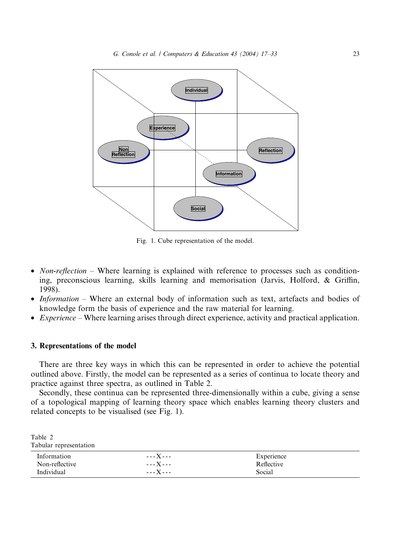

Fig. 1. Cube representation of the model.

- *Non-reflection* Where learning is explained with reference to processes such as conditioning, preconscious learning, skills learning and memorisation (Jarvis, Holford, & Griffin, 1998).
- *Information* Where an external body of information such as text, artefacts and bodies of knowledge form the basis of experience and the raw material for learning.
- *Experience* Where learning arises through direct experience, activity and practical application.

## 3. Representations of the model

Table 2

There are three key ways in which this can be represented in order to achieve the potential outlined above. Firstly, the model can be represented as a series of continua to locate theory and practice against three spectra, as outlined in Table 2.

Secondly, these continua can be represented three-dimensionally within a cube, giving a sense of a topological mapping of learning theory space which enables learning theory clusters and related concepts to be visualised (see Fig. 1).

| Tabular representation |             |            |  |  |  |
|------------------------|-------------|------------|--|--|--|
| Information            | ---X---     | Experience |  |  |  |
| Non-reflective         | ---X ---    | Reflective |  |  |  |
| Individual             | $--- X ---$ | Social     |  |  |  |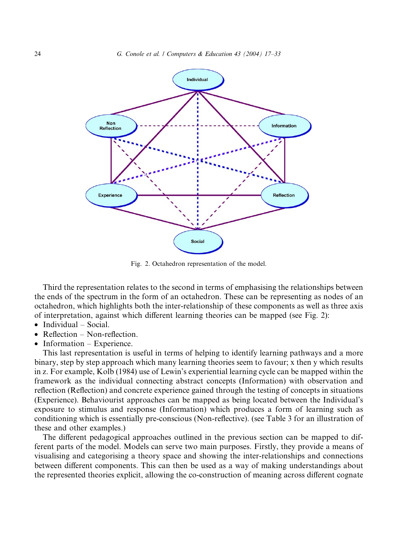

Fig. 2. Octahedron representation of the model.

Third the representation relates to the second in terms of emphasising the relationships between the ends of the spectrum in the form of an octahedron. These can be representing as nodes of an octahedron, which highlights both the inter-relationship of these components as well as three axis of interpretation, against which different learning theories can be mapped (see Fig. 2):

- Individual Social.
- Reflection Non-reflection.
- Information Experience.

This last representation is useful in terms of helping to identify learning pathways and a more binary, step by step approach which many learning theories seem to favour; x then y which results in z. For example, Kolb (1984) use of Lewin's experiential learning cycle can be mapped within the framework as the individual connecting abstract concepts (Information) with observation and reflection (Reflection) and concrete experience gained through the testing of concepts in situations (Experience). Behaviourist approaches can be mapped as being located between the Individual's exposure to stimulus and response (Information) which produces a form of learning such as conditioning which is essentially pre-conscious (Non-reflective). (see Table 3 for an illustration of these and other examples.)

The different pedagogical approaches outlined in the previous section can be mapped to different parts of the model. Models can serve two main purposes. Firstly, they provide a means of visualising and categorising a theory space and showing the inter-relationships and connections between different components. This can then be used as a way of making understandings about the represented theories explicit, allowing the co-construction of meaning across different cognate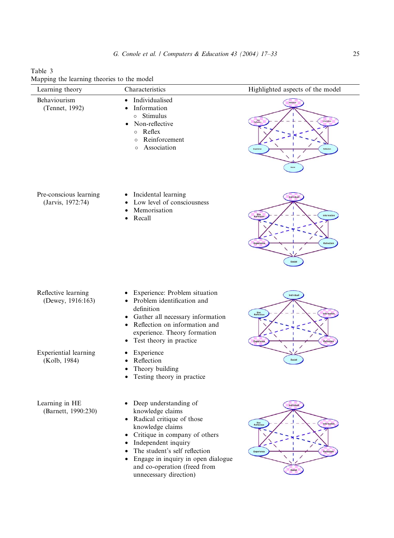| Table 3                                    |  |  |  |
|--------------------------------------------|--|--|--|
| Mapping the learning theories to the model |  |  |  |

| Learning theory                             | Characteristics                                                                                                                                                                                                                                                                                                    | Highlighted aspects of the model                      |
|---------------------------------------------|--------------------------------------------------------------------------------------------------------------------------------------------------------------------------------------------------------------------------------------------------------------------------------------------------------------------|-------------------------------------------------------|
| Behaviourism<br>(Tennet, 1992)              | Individualised<br>$\bullet$<br>Information<br>o Stimulus<br>Non-reflective<br>٠<br>o Reflex<br>Reinforcement<br>$\circ$<br>Association<br>$\circ$                                                                                                                                                                  |                                                       |
| Pre-conscious learning<br>(Jarvis, 1972:74) | Incidental learning<br>$\bullet$<br>Low level of consciousness<br>Memorisation<br>$\bullet$<br>Recall<br>$\bullet$                                                                                                                                                                                                 | Individual<br>Reflection<br>Experienc<br>Social       |
| Reflective learning<br>(Dewey, 1916:163)    | Experience: Problem situation<br>$\bullet$<br>• Problem identification and<br>definition<br>Gather all necessary information<br>$\bullet$<br>Reflection on information and<br>experience. Theory formation<br>Test theory in practice<br>$\bullet$                                                                 | Individual<br>Non<br>Reflecti<br>Reflectio<br>Exper   |
| Experiential learning<br>(Kolb, 1984)       | Experience<br>٠<br>Reflection<br>Theory building<br>Testing theory in practice                                                                                                                                                                                                                                     | Social                                                |
| Learning in HE<br>(Barnett, 1990:230)       | Deep understanding of<br>knowledge claims<br>Radical critique of those<br>$\bullet$<br>knowledge claims<br>Critique in company of others<br>$\bullet$<br>Independent inquiry<br>٠<br>The student's self reflection<br>Engage in inquiry in open dialogue<br>and co-operation (freed from<br>unnecessary direction) | Non<br>Reflecti<br>Experience<br>Reflection<br>Social |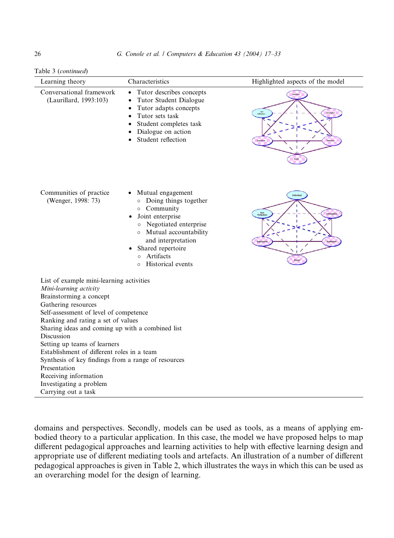Table 3 (continued)

| Learning theory                                                                                                                                                                                                                                                                                                                                                                                                                                                                                        | Characteristics                                                                                                                                                                                                                                                         | Highlighted aspects of the model |
|--------------------------------------------------------------------------------------------------------------------------------------------------------------------------------------------------------------------------------------------------------------------------------------------------------------------------------------------------------------------------------------------------------------------------------------------------------------------------------------------------------|-------------------------------------------------------------------------------------------------------------------------------------------------------------------------------------------------------------------------------------------------------------------------|----------------------------------|
| Conversational framework<br>(Laurillard, 1993:103)                                                                                                                                                                                                                                                                                                                                                                                                                                                     | Tutor describes concepts<br>$\bullet$<br>Tutor Student Dialogue<br>$\bullet$<br>Tutor adapts concepts<br>$\bullet$<br>Tutor sets task<br>$\bullet$<br>Student completes task<br>Dialogue on action<br>Student reflection                                                |                                  |
| Communities of practice<br>(Wenger, 1998: 73)                                                                                                                                                                                                                                                                                                                                                                                                                                                          | Mutual engagement<br>o Doing things together<br>Community<br>$\circ$<br>Joint enterprise<br>$\bullet$<br>Negotiated enterprise<br>$\circ$<br>o Mutual accountability<br>and interpretation<br>Shared repertoire<br>Artifacts<br>$\circ$<br>Historical events<br>$\circ$ |                                  |
| List of example mini-learning activities<br>Mini-learning activity<br>Brainstorming a concept<br>Gathering resources<br>Self-assessment of level of competence<br>Ranking and rating a set of values<br>Sharing ideas and coming up with a combined list<br>Discussion<br>Setting up teams of learners<br>Establishment of different roles in a team<br>Synthesis of key findings from a range of resources<br>Presentation<br>Receiving information<br>Investigating a problem<br>Carrying out a task |                                                                                                                                                                                                                                                                         |                                  |

domains and perspectives. Secondly, models can be used as tools, as a means of applying embodied theory to a particular application. In this case, the model we have proposed helps to map different pedagogical approaches and learning activities to help with effective learning design and appropriate use of different mediating tools and artefacts. An illustration of a number of different pedagogical approaches is given in Table 2, which illustrates the ways in which this can be used as an overarching model for the design of learning.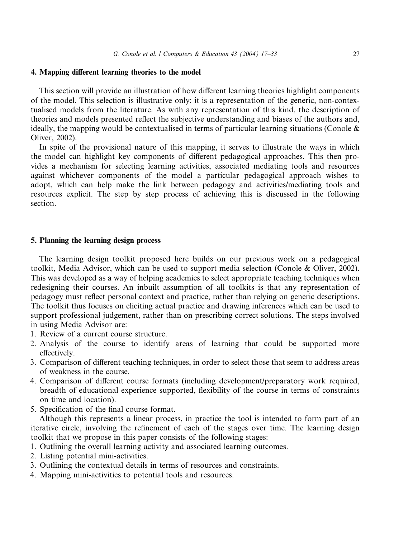## 4. Mapping different learning theories to the model

This section will provide an illustration of how different learning theories highlight components of the model. This selection is illustrative only; it is a representation of the generic, non-contextualised models from the literature. As with any representation of this kind, the description of theories and models presented reflect the subjective understanding and biases of the authors and, ideally, the mapping would be contextualised in terms of particular learning situations (Conole  $\&$ Oliver, 2002).

In spite of the provisional nature of this mapping, it serves to illustrate the ways in which the model can highlight key components of different pedagogical approaches. This then provides a mechanism for selecting learning activities, associated mediating tools and resources against whichever components of the model a particular pedagogical approach wishes to adopt, which can help make the link between pedagogy and activities/mediating tools and resources explicit. The step by step process of achieving this is discussed in the following section.

## 5. Planning the learning design process

The learning design toolkit proposed here builds on our previous work on a pedagogical toolkit, Media Advisor, which can be used to support media selection (Conole & Oliver, 2002). This was developed as a way of helping academics to select appropriate teaching techniques when redesigning their courses. An inbuilt assumption of all toolkits is that any representation of pedagogy must reflect personal context and practice, rather than relying on generic descriptions. The toolkit thus focuses on eliciting actual practice and drawing inferences which can be used to support professional judgement, rather than on prescribing correct solutions. The steps involved in using Media Advisor are:

- 1. Review of a current course structure.
- 2. Analysis of the course to identify areas of learning that could be supported more effectively.
- 3. Comparison of different teaching techniques, in order to select those that seem to address areas of weakness in the course.
- 4. Comparison of different course formats (including development/preparatory work required, breadth of educational experience supported, flexibility of the course in terms of constraints on time and location).
- 5. Specification of the final course format.

Although this represents a linear process, in practice the tool is intended to form part of an iterative circle, involving the refinement of each of the stages over time. The learning design toolkit that we propose in this paper consists of the following stages:

- 1. Outlining the overall learning activity and associated learning outcomes.
- 2. Listing potential mini-activities.
- 3. Outlining the contextual details in terms of resources and constraints.
- 4. Mapping mini-activities to potential tools and resources.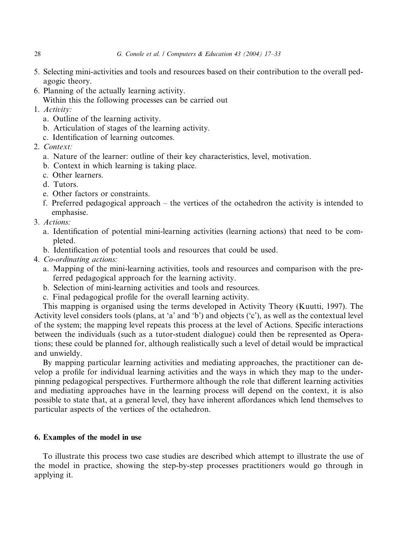- 5. Selecting mini-activities and tools and resources based on their contribution to the overall pedagogic theory.
- 6. Planning of the actually learning activity.
- Within this the following processes can be carried out
- 1. Activity:
	- a. Outline of the learning activity.
	- b. Articulation of stages of the learning activity.
	- c. Identification of learning outcomes.
- 2. Context:
	- a. Nature of the learner: outline of their key characteristics, level, motivation.
	- b. Context in which learning is taking place.
	- c. Other learners.
	- d. Tutors.
	- e. Other factors or constraints.
	- f. Preferred pedagogical approach the vertices of the octahedron the activity is intended to emphasise.
- 3. Actions:
	- a. Identification of potential mini-learning activities (learning actions) that need to be completed.
	- b. Identification of potential tools and resources that could be used.
- 4. Co-ordinating actions:
	- a. Mapping of the mini-learning activities, tools and resources and comparison with the preferred pedagogical approach for the learning activity.
	- b. Selection of mini-learning activities and tools and resources.
	- c. Final pedagogical profile for the overall learning activity.

This mapping is organised using the terms developed in Activity Theory (Kuutti, 1997). The Activity level considers tools (plans, at 'a' and 'b') and objects ('c'), as well as the contextual level of the system; the mapping level repeats this process at the level of Actions. Specific interactions between the individuals (such as a tutor-student dialogue) could then be represented as Operations; these could be planned for, although realistically such a level of detail would be impractical and unwieldy.

By mapping particular learning activities and mediating approaches, the practitioner can develop a profile for individual learning activities and the ways in which they map to the underpinning pedagogical perspectives. Furthermore although the role that different learning activities and mediating approaches have in the learning process will depend on the context, it is also possible to state that, at a general level, they have inherent affordances which lend themselves to particular aspects of the vertices of the octahedron.

## 6. Examples of the model in use

To illustrate this process two case studies are described which attempt to illustrate the use of the model in practice, showing the step-by-step processes practitioners would go through in applying it.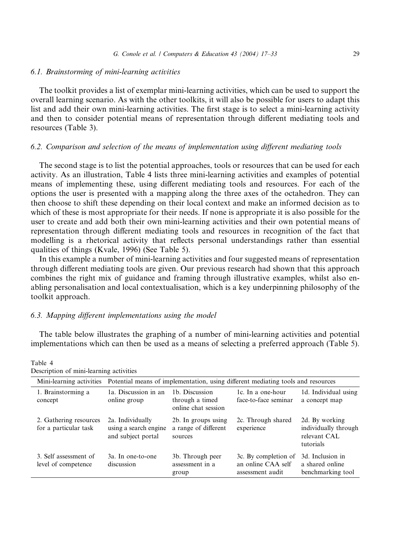#### 6.1. Brainstorming of mini-learning activities

The toolkit provides a list of exemplar mini-learning activities, which can be used to support the overall learning scenario. As with the other toolkits, it will also be possible for users to adapt this list and add their own mini-learning activities. The first stage is to select a mini-learning activity and then to consider potential means of representation through different mediating tools and resources (Table 3).

## 6.2. Comparison and selection of the means of implementation using different mediating tools

The second stage is to list the potential approaches, tools or resources that can be used for each activity. As an illustration, Table 4 lists three mini-learning activities and examples of potential means of implementing these, using different mediating tools and resources. For each of the options the user is presented with a mapping along the three axes of the octahedron. They can then choose to shift these depending on their local context and make an informed decision as to which of these is most appropriate for their needs. If none is appropriate it is also possible for the user to create and add both their own mini-learning activities and their own potential means of representation through different mediating tools and resources in recognition of the fact that modelling is a rhetorical activity that reflects personal understandings rather than essential qualities of things (Kvale, 1996) (See Table 5).

In this example a number of mini-learning activities and four suggested means of representation through different mediating tools are given. Our previous research had shown that this approach combines the right mix of guidance and framing through illustrative examples, whilst also enabling personalisation and local contextualisation, which is a key underpinning philosophy of the toolkit approach.

## 6.3. Mapping different implementations using the model

The table below illustrates the graphing of a number of mini-learning activities and potential implementations which can then be used as a means of selecting a preferred approach (Table 5).

| Mini-learning activities                        | Potential means of implementation, using different mediating tools and resources |                                                          |                                                                |                                                                     |  |  |
|-------------------------------------------------|----------------------------------------------------------------------------------|----------------------------------------------------------|----------------------------------------------------------------|---------------------------------------------------------------------|--|--|
| 1. Brainstorming a<br>concept                   | 1a. Discussion in an<br>online group                                             | 1b. Discussion<br>through a timed<br>online chat session | 1c. In a one-hour<br>face-to-face seminar                      | 1d. Individual using<br>a concept map                               |  |  |
| 2. Gathering resources<br>for a particular task | 2a. Individually<br>using a search engine<br>and subject portal                  | 2b. In groups using<br>a range of different<br>sources   | 2c. Through shared<br>experience                               | 2d. By working<br>individually through<br>relevant CAL<br>tutorials |  |  |
| 3. Self assessment of<br>level of competence    | 3a. In one-to-one<br>discussion                                                  | 3b. Through peer<br>assessment in a<br>group             | 3c. By completion of<br>an online CAA self<br>assessment audit | 3d. Inclusion in<br>a shared online<br>benchmarking tool            |  |  |

Description of mini-learning activities

Table 4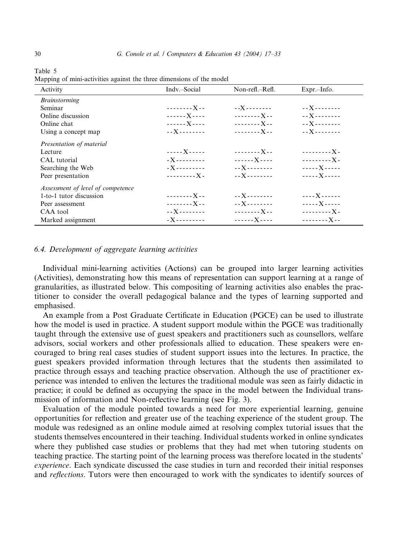| Activity                          | Indy.-Social         | Non-refl.-Refl.           | $Expr.-Info.$      |
|-----------------------------------|----------------------|---------------------------|--------------------|
| <i>Brainstorming</i>              |                      |                           |                    |
| Seminar                           | -------- X --        | - -X - - - - - - - -      | $-X - - - - - - -$ |
| Online discussion                 | $--- X---$           | $---X-$                   | $-X - - - - - - -$ |
| Online chat                       | $--- X---$           | $---X-$                   | $-X - - - - - - -$ |
| Using a concept map               | $-X - - - - - - -$   | $---X-$                   | $-X - - - - - - -$ |
| Presentation of material          |                      |                           |                    |
| Lecture                           | $--- X---$           | $---X-$                   | $---x -$           |
| CAL tutorial                      | $-X - - - - - - - -$ | $--- X---$                | $---x -$           |
| Searching the Web                 |                      | $-X - - - - - - -$        | $--- X---$         |
| Peer presentation                 | --------- X -        | $-X - - - - - - -$        | $--- X---$         |
| Assessment of level of competence |                      |                           |                    |
| 1-to-1 tutor discussion           | -------- X --        | $-$ - $X$ - - - - - - - - | ---- X ------      |
| Peer assessment                   | $---X-$              | $-X - - - - - - -$        | $--- X---$         |
| CAA tool                          | $-X - - - - - - -$   | $---X-$                   | $---x -$           |
| Marked assignment                 | $-X - - - - - - - -$ | $--- X---$                | $---X-$            |

Table 5

Mapping of mini-activities against the three dimensions of the model

## 6.4. Development of aggregate learning activities

Individual mini-learning activities (Actions) can be grouped into larger learning activities (Activities), demonstrating how this means of representation can support learning at a range of granularities, as illustrated below. This compositing of learning activities also enables the practitioner to consider the overall pedagogical balance and the types of learning supported and emphasised.

An example from a Post Graduate Certificate in Education (PGCE) can be used to illustrate how the model is used in practice. A student support module within the PGCE was traditionally taught through the extensive use of guest speakers and practitioners such as counsellors, welfare advisors, social workers and other professionals allied to education. These speakers were encouraged to bring real cases studies of student support issues into the lectures. In practice, the guest speakers provided information through lectures that the students then assimilated to practice through essays and teaching practice observation. Although the use of practitioner experience was intended to enliven the lectures the traditional module was seen as fairly didactic in practice; it could be defined as occupying the space in the model between the Individual transmission of information and Non-reflective learning (see Fig. 3).

Evaluation of the module pointed towards a need for more experiential learning, genuine opportunities for reflection and greater use of the teaching experience of the student group. The module was redesigned as an online module aimed at resolving complex tutorial issues that the students themselves encountered in their teaching. Individual students worked in online syndicates where they published case studies or problems that they had met when tutoring students on teaching practice. The starting point of the learning process was therefore located in the students' experience. Each syndicate discussed the case studies in turn and recorded their initial responses and reflections. Tutors were then encouraged to work with the syndicates to identify sources of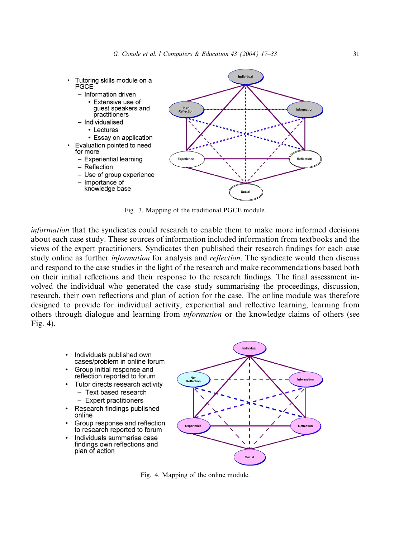

Fig. 3. Mapping of the traditional PGCE module.

information that the syndicates could research to enable them to make more informed decisions about each case study. These sources of information included information from textbooks and the views of the expert practitioners. Syndicates then published their research findings for each case study online as further information for analysis and reflection. The syndicate would then discuss and respond to the case studies in the light of the research and make recommendations based both on their initial reflections and their response to the research findings. The final assessment involved the individual who generated the case study summarising the proceedings, discussion, research, their own reflections and plan of action for the case. The online module was therefore designed to provide for individual activity, experiential and reflective learning, learning from others through dialogue and learning from information or the knowledge claims of others (see Fig. 4).



Fig. 4. Mapping of the online module.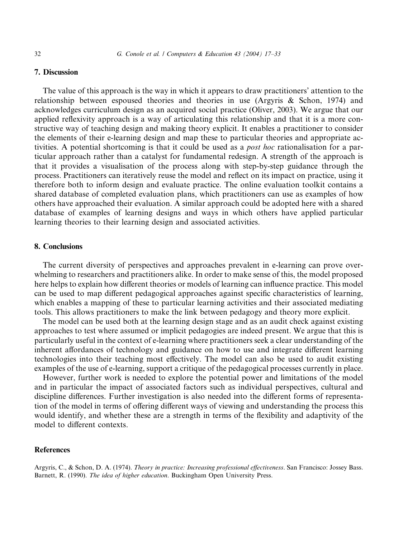## 7. Discussion

The value of this approach is the way in which it appears to draw practitioners' attention to the relationship between espoused theories and theories in use (Argyris & Schon, 1974) and acknowledges curriculum design as an acquired social practice (Oliver, 2003). We argue that our applied reflexivity approach is a way of articulating this relationship and that it is a more constructive way of teaching design and making theory explicit. It enables a practitioner to consider the elements of their e-learning design and map these to particular theories and appropriate activities. A potential shortcoming is that it could be used as a post hoc rationalisation for a particular approach rather than a catalyst for fundamental redesign. A strength of the approach is that it provides a visualisation of the process along with step-by-step guidance through the process. Practitioners can iteratively reuse the model and reflect on its impact on practice, using it therefore both to inform design and evaluate practice. The online evaluation toolkit contains a shared database of completed evaluation plans, which practitioners can use as examples of how others have approached their evaluation. A similar approach could be adopted here with a shared database of examples of learning designs and ways in which others have applied particular learning theories to their learning design and associated activities.

## 8. Conclusions

The current diversity of perspectives and approaches prevalent in e-learning can prove overwhelming to researchers and practitioners alike. In order to make sense of this, the model proposed here helps to explain how different theories or models of learning can influence practice. This model can be used to map different pedagogical approaches against specific characteristics of learning, which enables a mapping of these to particular learning activities and their associated mediating tools. This allows practitioners to make the link between pedagogy and theory more explicit.

The model can be used both at the learning design stage and as an audit check against existing approaches to test where assumed or implicit pedagogies are indeed present. We argue that this is particularly useful in the context of e-learning where practitioners seek a clear understanding of the inherent affordances of technology and guidance on how to use and integrate different learning technologies into their teaching most effectively. The model can also be used to audit existing examples of the use of e-learning, support a critique of the pedagogical processes currently in place.

However, further work is needed to explore the potential power and limitations of the model and in particular the impact of associated factors such as individual perspectives, cultural and discipline differences. Further investigation is also needed into the different forms of representation of the model in terms of offering different ways of viewing and understanding the process this would identify, and whether these are a strength in terms of the flexibility and adaptivity of the model to different contexts.

## **References**

Argyris, C., & Schon, D. A. (1974). Theory in practice: Increasing professional effectiveness. San Francisco: Jossey Bass. Barnett, R. (1990). The idea of higher education. Buckingham Open University Press.